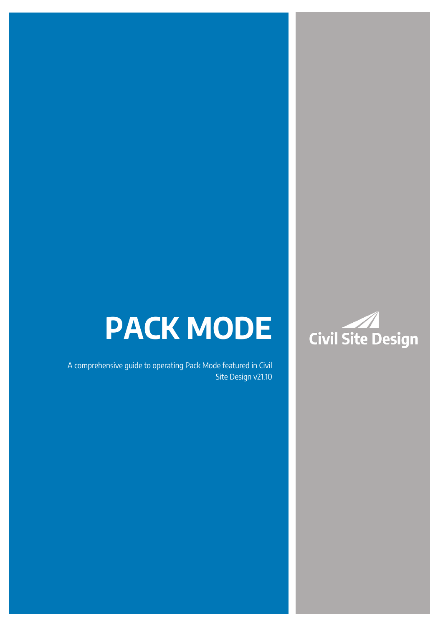# **PACK MODE**

A comprehensive guide to operating Pack Mode featured in Civil Site Design v21.10

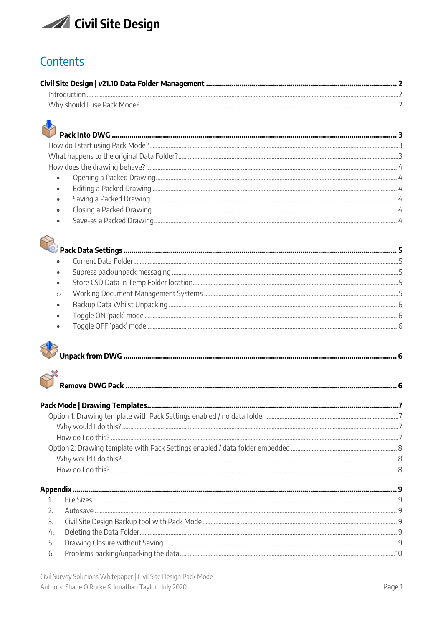

# Contents

| $\bullet$ . |  |
|-------------|--|
| $\bullet$   |  |
|             |  |
|             |  |



| $\bullet$ |  |
|-----------|--|
| $\bullet$ |  |
|           |  |
|           |  |
| $\bullet$ |  |
|           |  |
|           |  |





| 6 Problems packing unpacking the data |  |
|---------------------------------------|--|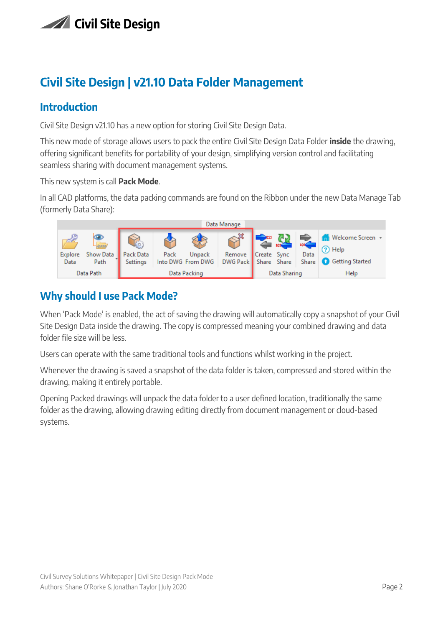

# <span id="page-2-0"></span>**Civil Site Design | v21.10 Data Folder Management**

### <span id="page-2-1"></span>**Introduction**

Civil Site Design v21.10 has a new option for storing Civil Site Design Data.

This new mode of storage allows users to pack the entire Civil Site Design Data Folder **inside** the drawing, offering significant benefits for portability of your design, simplifying version control and facilitating seamless sharing with document management systems.

This new system is call **Pack Mode**.

In all CAD platforms, the data packing commands are found on the Ribbon under the new Data Manage Tab (formerly Data Share):



# <span id="page-2-2"></span>**Why should I use Pack Mode?**

When 'Pack Mode' is enabled, the act of saving the drawing will automatically copy a snapshot of your Civil Site Design Data inside the drawing. The copy is compressed meaning your combined drawing and data folder file size will be less.

Users can operate with the same traditional tools and functions whilst working in the project.

Whenever the drawing is saved a snapshot of the data folder is taken, compressed and stored within the drawing, making it entirely portable.

Opening Packed drawings will unpack the data folder to a user defined location, traditionally the same folder as the drawing, allowing drawing editing directly from document management or cloud-based systems.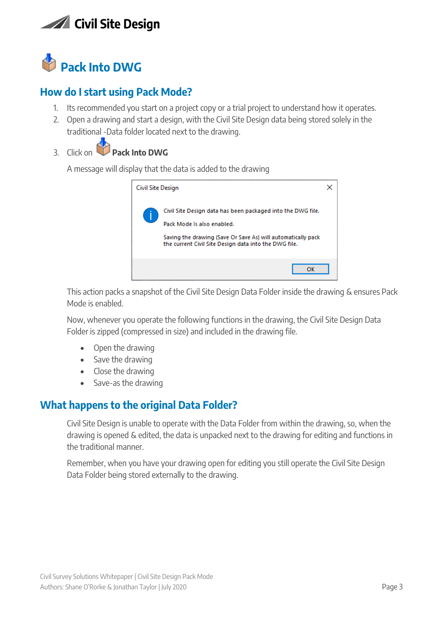

<span id="page-3-0"></span>

# <span id="page-3-1"></span>**How do I start using Pack Mode?**

- 1. Its recommended you start on a project copy or a trial project to understand how it operates.
- 2. Open a drawing and start a design, with the Civil Site Design data being stored solely in the traditional -Data folder located next to the drawing.
- 3. Click on **Pack Into DWG**

A message will display that the data is added to the drawing



This action packs a snapshot of the Civil Site Design Data Folder inside the drawing & ensures Pack Mode is enabled.

Now, whenever you operate the following functions in the drawing, the Civil Site Design Data Folder is zipped (compressed in size) and included in the drawing file.

- Open the drawing
- Save the drawing
- Close the drawing
- Save-as the drawing

### <span id="page-3-2"></span>**What happens to the original Data Folder?**

Civil Site Design is unable to operate with the Data Folder from within the drawing, so, when the drawing is opened & edited, the data is unpacked next to the drawing for editing and functions in the traditional manner.

Remember, when you have your drawing open for editing you still operate the Civil Site Design Data Folder being stored externally to the drawing.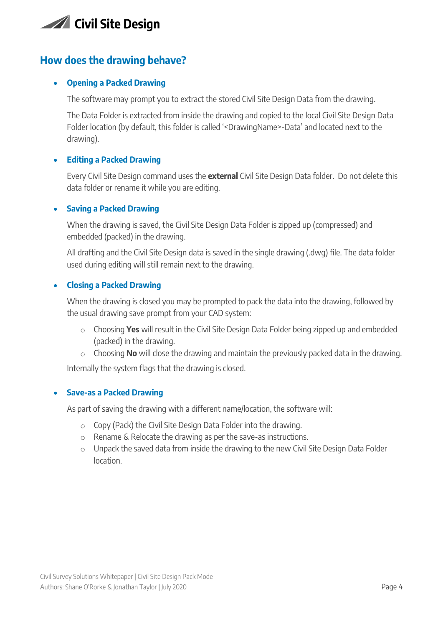

### <span id="page-4-0"></span>**How does the drawing behave?**

#### <span id="page-4-1"></span>• **Opening a Packed Drawing**

The software may prompt you to extract the stored Civil Site Design Data from the drawing.

The Data Folder is extracted from inside the drawing and copied to the local Civil Site Design Data Folder location (by default, this folder is called '<DrawingName>-Data' and located next to the drawing).

#### <span id="page-4-2"></span>• **Editing a Packed Drawing**

Every Civil Site Design command uses the **external** Civil Site Design Data folder. Do not delete this data folder or rename it while you are editing.

#### <span id="page-4-3"></span>• **Saving a Packed Drawing**

When the drawing is saved, the Civil Site Design Data Folder is zipped up (compressed) and embedded (packed) in the drawing.

All drafting and the Civil Site Design data is saved in the single drawing (.dwg) file. The data folder used during editing will still remain next to the drawing.

#### <span id="page-4-4"></span>• **Closing a Packed Drawing**

When the drawing is closed you may be prompted to pack the data into the drawing, followed by the usual drawing save prompt from your CAD system:

- o Choosing **Yes** will result in the Civil Site Design Data Folder being zipped up and embedded (packed) in the drawing.
- o Choosing **No** will close the drawing and maintain the previously packed data in the drawing.

Internally the system flags that the drawing is closed.

#### <span id="page-4-5"></span>• **Save-as a Packed Drawing**

As part of saving the drawing with a different name/location, the software will:

- o Copy (Pack) the Civil Site Design Data Folder into the drawing.
- o Rename & Relocate the drawing as per the save-as instructions.
- o Unpack the saved data from inside the drawing to the new Civil Site Design Data Folder location.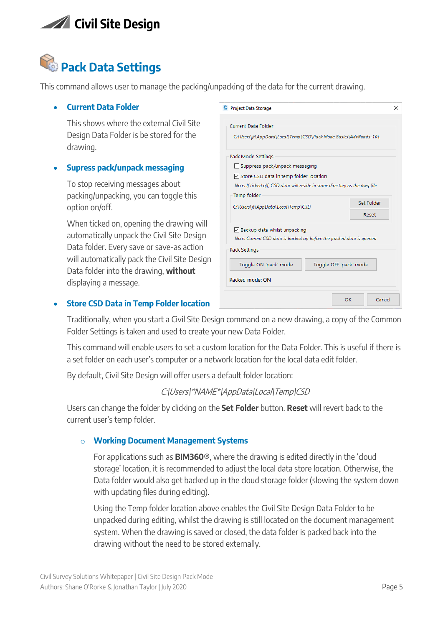# <span id="page-5-0"></span>**Pack Data Settings**

<span id="page-5-1"></span>This command allows user to manage the packing/unpacking of the data for the current drawing.

#### • **Current Data Folder**

This shows where the external Civil Site Design Data Folder is be stored for the drawing.

#### <span id="page-5-2"></span>• **Supress pack/unpack messaging**

To stop receiving messages about packing/unpacking, you can toggle this option on/off.

When ticked on, opening the drawing will automatically unpack the Civil Site Design Data folder. Every save or save-as action will automatically pack the Civil Site Design Data folder into the drawing, **without** displaying a message.

| <b>C</b> Project Data Storage                                               | ×          |  |  |
|-----------------------------------------------------------------------------|------------|--|--|
| <b>Current Data Folder</b>                                                  |            |  |  |
| C:\Users\jt\AppData\Local\Temp\CSD\Pack Mode Basics\AdvRoads-10\            |            |  |  |
| Pack Mode Settings                                                          |            |  |  |
| Suppress pack/unpack messaging                                              |            |  |  |
| $\triangledown$ Store CSD data in temp folder location                      |            |  |  |
| Note: If ticked off, CSD data will reside in same directory as the dwg file |            |  |  |
| Temp folder                                                                 |            |  |  |
| C:\Users\jt\AppData\Local\Temp\CSD                                          | Set Folder |  |  |
|                                                                             | Reset      |  |  |
| ○ Backup data whilst unpacking                                              |            |  |  |
| Note: Current CSD data is backed up before the packed data is opened        |            |  |  |
| Pack Settings                                                               |            |  |  |
| Toggle ON 'pack' mode<br>Toggle OFF 'pack' mode                             |            |  |  |
| Packed mode: ON                                                             |            |  |  |
| OK                                                                          | Cancel     |  |  |

#### <span id="page-5-3"></span>• **Store CSD Data in Temp Folder location**

Traditionally, when you start a Civil Site Design command on a new drawing, a copy of the Common Folder Settings is taken and used to create your new Data Folder.

This command will enable users to set a custom location for the Data Folder. This is useful if there is a set folder on each user's computer or a network location for the local data edit folder.

By default, Civil Site Design will offer users a default folder location:

#### C:\Users\\*NAME\*\AppData\Local\Temp\CSD

<span id="page-5-4"></span>Users can change the folder by clicking on the **Set Folder** button. **Reset** will revert back to the current user's temp folder.

#### o **Working Document Management Systems**

For applications such as **BIM360®**, where the drawing is edited directly in the 'cloud storage' location, it is recommended to adjust the local data store location. Otherwise, the Data folder would also get backed up in the cloud storage folder (slowing the system down with updating files during editing).

Using the Temp folder location above enables the Civil Site Design Data Folder to be unpacked during editing, whilst the drawing is still located on the document management system. When the drawing is saved or closed, the data folder is packed back into the drawing without the need to be stored externally.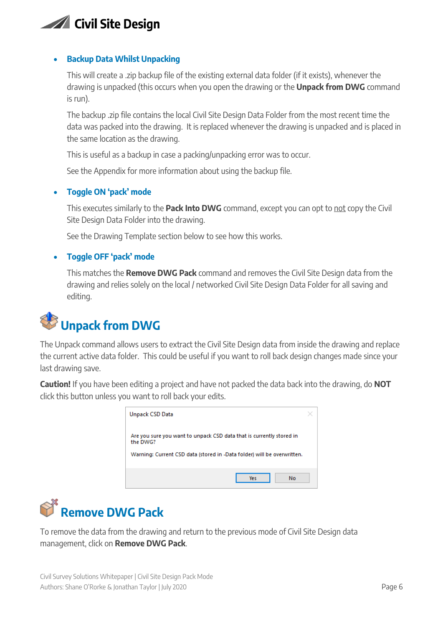#### <span id="page-6-0"></span>• **Backup Data Whilst Unpacking**

This will create a .zip backup file of the existing external data folder (if it exists), whenever the drawing is unpacked (this occurs when you open the drawing or the **Unpack from DWG** command is run).

The backup .zip file contains the local Civil Site Design Data Folder from the most recent time the data was packed into the drawing. It is replaced whenever the drawing is unpacked and is placed in the same location as the drawing.

This is useful as a backup in case a packing/unpacking error was to occur.

See the Appendix for more information about using the backup file.

#### <span id="page-6-1"></span>• **Toggle ON 'pack' mode**

This executes similarly to the **Pack Into DWG** command, except you can opt to not copy the Civil Site Design Data Folder into the drawing.

See the Drawing Template section below to see how this works.

#### <span id="page-6-2"></span>• **Toggle OFF 'pack' mode**

This matches the **Remove DWG Pack** command and removes the Civil Site Design data from the drawing and relies solely on the local / networked Civil Site Design Data Folder for all saving and editing.

# <span id="page-6-3"></span>**Unpack from DWG**

The Unpack command allows users to extract the Civil Site Design data from inside the drawing and replace the current active data folder. This could be useful if you want to roll back design changes made since your last drawing save.

**Caution!** If you have been editing a project and have not packed the data back into the drawing, do **NOT** click this button unless you want to roll back your edits.

| Unpack CSD Data                                                                                                                                             |  |
|-------------------------------------------------------------------------------------------------------------------------------------------------------------|--|
| Are you sure you want to unpack CSD data that is currently stored in<br>the DWG?<br>Warning: Current CSD data (stored in -Data folder) will be overwritten. |  |
|                                                                                                                                                             |  |
| No.<br><b>Yes</b>                                                                                                                                           |  |

<span id="page-6-4"></span>

To remove the data from the drawing and return to the previous mode of Civil Site Design data management, click on **Remove DWG Pack**.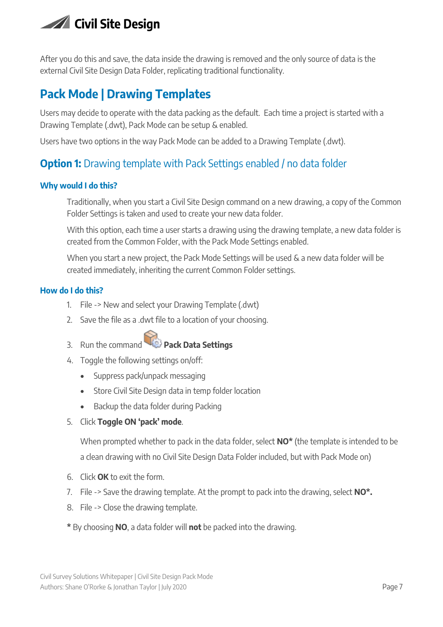

After you do this and save, the data inside the drawing is removed and the only source of data is the external Civil Site Design Data Folder, replicating traditional functionality.

# <span id="page-7-0"></span>**Pack Mode | Drawing Templates**

Users may decide to operate with the data packing as the default. Each time a project is started with a Drawing Template (.dwt), Pack Mode can be setup & enabled.

Users have two options in the way Pack Mode can be added to a Drawing Template (.dwt).

# <span id="page-7-1"></span>**Option 1:** Drawing template with Pack Settings enabled / no data folder

#### <span id="page-7-2"></span>**Why would I do this?**

Traditionally, when you start a Civil Site Design command on a new drawing, a copy of the Common Folder Settings is taken and used to create your new data folder.

With this option, each time a user starts a drawing using the drawing template, a new data folder is created from the Common Folder, with the Pack Mode Settings enabled.

When you start a new project, the Pack Mode Settings will be used & a new data folder will be created immediately, inheriting the current Common Folder settings.

#### <span id="page-7-3"></span>**How do I do this?**

- 1. File -> New and select your Drawing Template (.dwt)
- 2. Save the file as a .dwt file to a location of your choosing.
- 3. Run the command **Pack Data Settings**
- 4. Toggle the following settings on/off:
	- Suppress pack/unpack messaging
	- Store Civil Site Design data in temp folder location
	- Backup the data folder during Packing
- 5. Click **Toggle ON 'pack' mode**.

When prompted whether to pack in the data folder, select **NO\*** (the template is intended to be a clean drawing with no Civil Site Design Data Folder included, but with Pack Mode on)

- 6. Click **OK** to exit the form.
- 7. File -> Save the drawing template. At the prompt to pack into the drawing, select **NO\*.**
- 8. File -> Close the drawing template.
- **\*** By choosing **NO**, a data folder will **not** be packed into the drawing.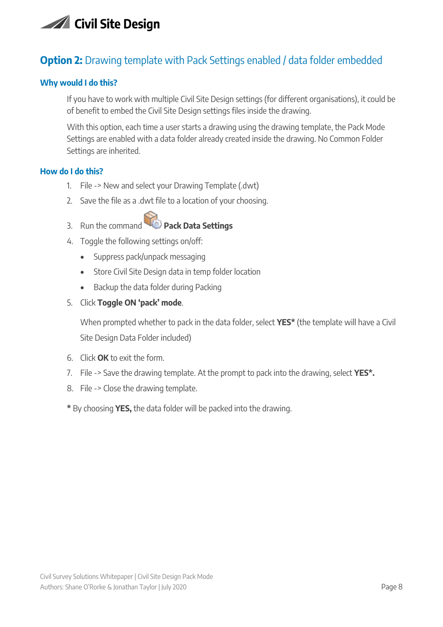# <span id="page-8-0"></span>**Option 2:** Drawing template with Pack Settings enabled / data folder embedded

#### <span id="page-8-1"></span>**Why would I do this?**

If you have to work with multiple Civil Site Design settings (for different organisations), it could be of benefit to embed the Civil Site Design settings files inside the drawing.

With this option, each time a user starts a drawing using the drawing template, the Pack Mode Settings are enabled with a data folder already created inside the drawing. No Common Folder Settings are inherited.

#### <span id="page-8-2"></span>**How do I do this?**

- 1. File -> New and select your Drawing Template (.dwt)
- 2. Save the file as a .dwt file to a location of your choosing.
- 3. Run the command **Pack Data Settings**
- 4. Toggle the following settings on/off:
	- Suppress pack/unpack messaging
	- Store Civil Site Design data in temp folder location
	- Backup the data folder during Packing
- 5. Click **Toggle ON 'pack' mode**.

When prompted whether to pack in the data folder, select **YES\*** (the template will have a Civil Site Design Data Folder included)

- 6. Click **OK** to exit the form.
- 7. File -> Save the drawing template. At the prompt to pack into the drawing, select **YES\*.**
- 8. File -> Close the drawing template.
- **\*** By choosing **YES,** the data folder will be packed into the drawing.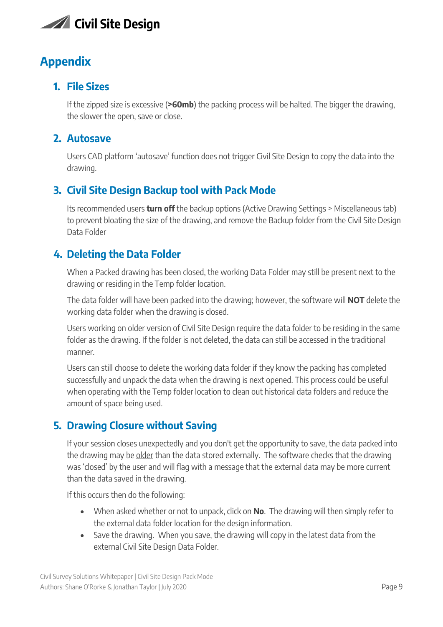

# <span id="page-9-0"></span>**Appendix**

# <span id="page-9-1"></span>**1. File Sizes**

If the zipped size is excessive (**>60mb**) the packing process will be halted. The bigger the drawing, the slower the open, save or close.

### <span id="page-9-2"></span>**2. Autosave**

Users CAD platform 'autosave' function does not trigger Civil Site Design to copy the data into the drawing.

# <span id="page-9-3"></span>**3. Civil Site Design Backup tool with Pack Mode**

Its recommended users **turn off** the backup options (Active Drawing Settings > Miscellaneous tab) to prevent bloating the size of the drawing, and remove the Backup folder from the Civil Site Design Data Folder

### <span id="page-9-4"></span>**4. Deleting the Data Folder**

When a Packed drawing has been closed, the working Data Folder may still be present next to the drawing or residing in the Temp folder location.

The data folder will have been packed into the drawing; however, the software will **NOT** delete the working data folder when the drawing is closed.

Users working on older version of Civil Site Design require the data folder to be residing in the same folder as the drawing. If the folder is not deleted, the data can still be accessed in the traditional manner.

Users can still choose to delete the working data folder if they know the packing has completed successfully and unpack the data when the drawing is next opened. This process could be useful when operating with the Temp folder location to clean out historical data folders and reduce the amount of space being used.

# <span id="page-9-5"></span>**5. Drawing Closure without Saving**

If your session closes unexpectedly and you don't get the opportunity to save, the data packed into the drawing may be older than the data stored externally. The software checks that the drawing was 'closed' by the user and will flag with a message that the external data may be more current than the data saved in the drawing.

If this occurs then do the following:

- When asked whether or not to unpack, click on **No**. The drawing will then simply refer to the external data folder location for the design information.
- Save the drawing. When you save, the drawing will copy in the latest data from the external Civil Site Design Data Folder.